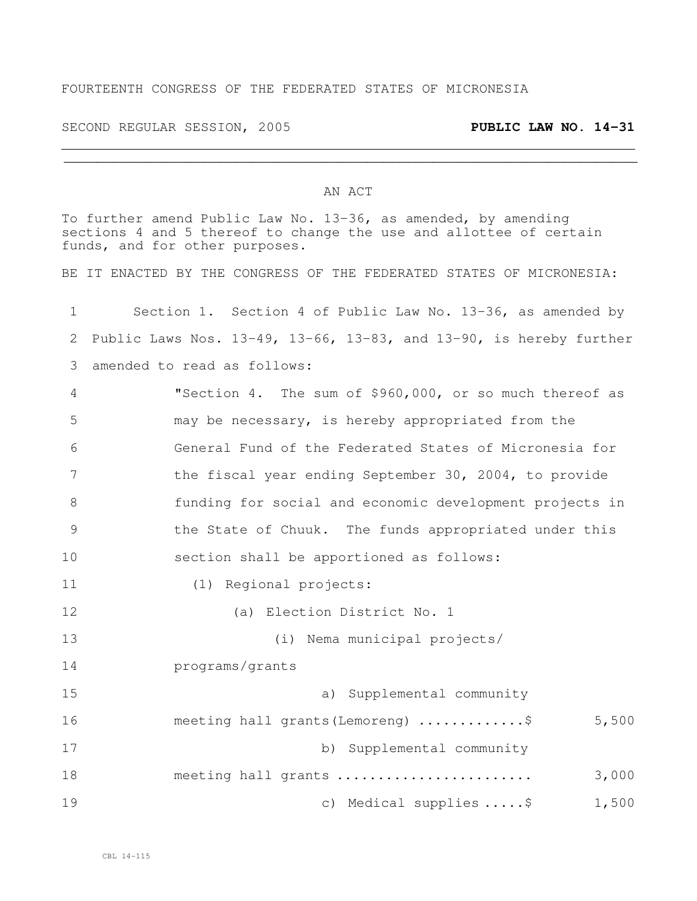## FOURTEENTH CONGRESS OF THE FEDERATED STATES OF MICRONESIA

SECOND REGULAR SESSION, 2005 **PUBLIC LAW NO. 14-31**

## AN ACT

To further amend Public Law No. 13-36, as amended, by amending sections 4 and 5 thereof to change the use and allottee of certain funds, and for other purposes.

BE IT ENACTED BY THE CONGRESS OF THE FEDERATED STATES OF MICRONESIA:

| $\mathbf 1$ | Section 1. Section 4 of Public Law No. 13-36, as amended by        |  |  |  |  |  |  |
|-------------|--------------------------------------------------------------------|--|--|--|--|--|--|
| 2           | Public Laws Nos. 13-49, 13-66, 13-83, and 13-90, is hereby further |  |  |  |  |  |  |
| 3           | amended to read as follows:                                        |  |  |  |  |  |  |
| 4           | "Section 4. The sum of \$960,000, or so much thereof as            |  |  |  |  |  |  |
| 5           | may be necessary, is hereby appropriated from the                  |  |  |  |  |  |  |
| 6           | General Fund of the Federated States of Micronesia for             |  |  |  |  |  |  |
| 7           | the fiscal year ending September 30, 2004, to provide              |  |  |  |  |  |  |
| 8           | funding for social and economic development projects in            |  |  |  |  |  |  |
| $\mathsf 9$ | the State of Chuuk. The funds appropriated under this              |  |  |  |  |  |  |
| 10          | section shall be apportioned as follows:                           |  |  |  |  |  |  |
| 11          | (1) Regional projects:                                             |  |  |  |  |  |  |
| 12          | (a) Election District No. 1                                        |  |  |  |  |  |  |
| 13          | (i) Nema municipal projects/                                       |  |  |  |  |  |  |
| 14          | programs/grants                                                    |  |  |  |  |  |  |
| 15          | a) Supplemental community                                          |  |  |  |  |  |  |
| 16          | 5,500<br>meeting hall grants (Lemoreng) \$                         |  |  |  |  |  |  |
| 17          | b) Supplemental community                                          |  |  |  |  |  |  |
| 18          | 3,000<br>meeting hall grants                                       |  |  |  |  |  |  |
| 19          | c) Medical supplies $\ldots$ .\$<br>1,500                          |  |  |  |  |  |  |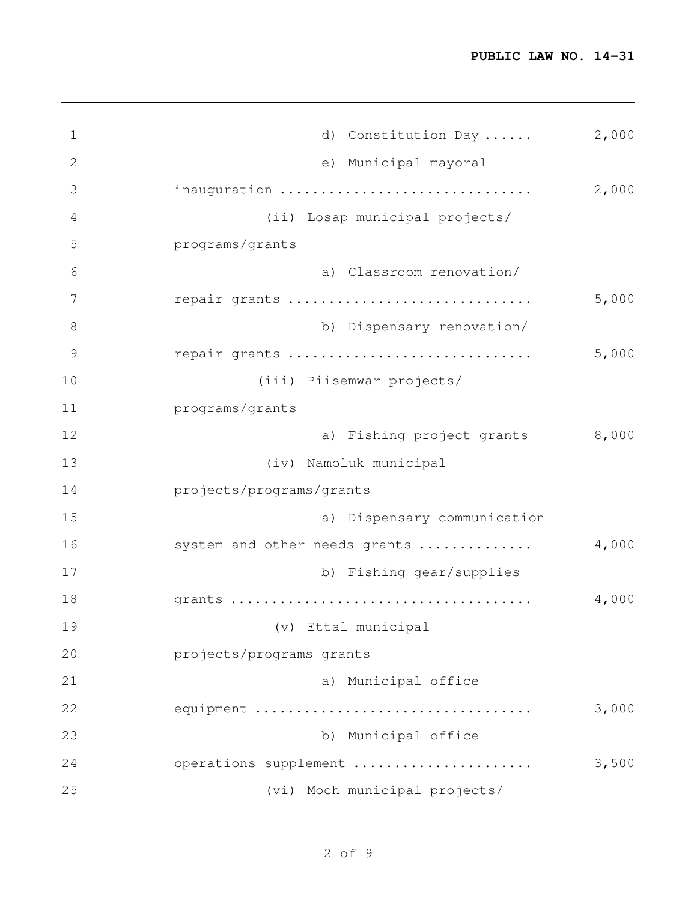| $\mathbf 1$   | d) Constitution Day            | 2,000 |
|---------------|--------------------------------|-------|
| $\mathbf{2}$  | e) Municipal mayoral           |       |
| 3             | inauguration                   | 2,000 |
| 4             | (ii) Losap municipal projects/ |       |
| 5             | programs/grants                |       |
| 6             | a) Classroom renovation/       |       |
| 7             | repair grants                  | 5,000 |
| 8             | b) Dispensary renovation/      |       |
| $\mathcal{G}$ | repair grants                  | 5,000 |
| 10            | (iii) Piisemwar projects/      |       |
| 11            | programs/grants                |       |
| 12            | a) Fishing project grants      | 8,000 |
| 13            | (iv) Namoluk municipal         |       |
| 14            | projects/programs/grants       |       |
| 15            | a) Dispensary communication    |       |
| 16            | system and other needs grants  | 4,000 |
| 17            | b) Fishing gear/supplies       |       |
| 18            |                                | 4,000 |
| 19            | (v) Ettal municipal            |       |
| 20            | projects/programs grants       |       |
| 21            | a) Municipal office            |       |
| 22            | equipment                      | 3,000 |
| 23            | b) Municipal office            |       |
| 24            | operations supplement          | 3,500 |
| 25            | (vi) Moch municipal projects/  |       |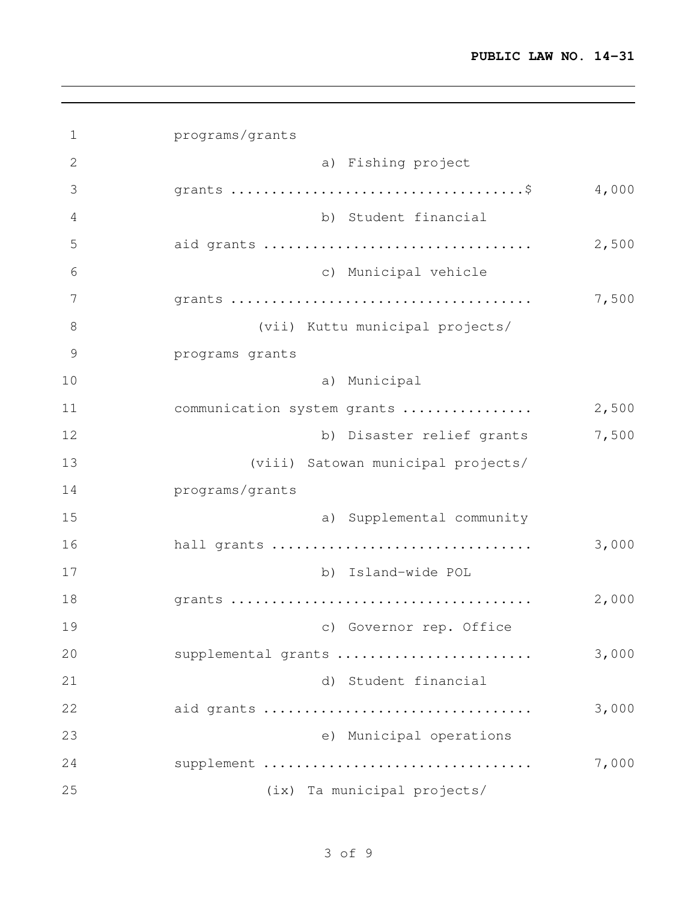| $\mathbf 1$   | programs/grants                    |       |
|---------------|------------------------------------|-------|
| $\mathbf{2}$  | a) Fishing project                 |       |
| 3             |                                    | 4,000 |
| 4             | b) Student financial               |       |
| 5             | aid grants                         | 2,500 |
| 6             | c) Municipal vehicle               |       |
| 7             |                                    | 7,500 |
| 8             | (vii) Kuttu municipal projects/    |       |
| $\mathcal{G}$ | programs grants                    |       |
| 10            | a) Municipal                       |       |
| 11            | communication system grants        | 2,500 |
| 12            | b) Disaster relief grants          | 7,500 |
| 13            | (viii) Satowan municipal projects/ |       |
| 14            | programs/grants                    |       |
| 15            | a) Supplemental community          |       |
| 16            | hall grants                        | 3,000 |
| 17            | b) Island-wide POL                 |       |
| 18            |                                    | 2,000 |
| 19            | c) Governor rep. Office            |       |
| 20            | supplemental grants                | 3,000 |
| 21            | d) Student financial               |       |
| 22            | aid grants                         | 3,000 |
| 23            | e) Municipal operations            |       |
| 24            | supplement                         | 7,000 |
| 25            | (ix) Ta municipal projects/        |       |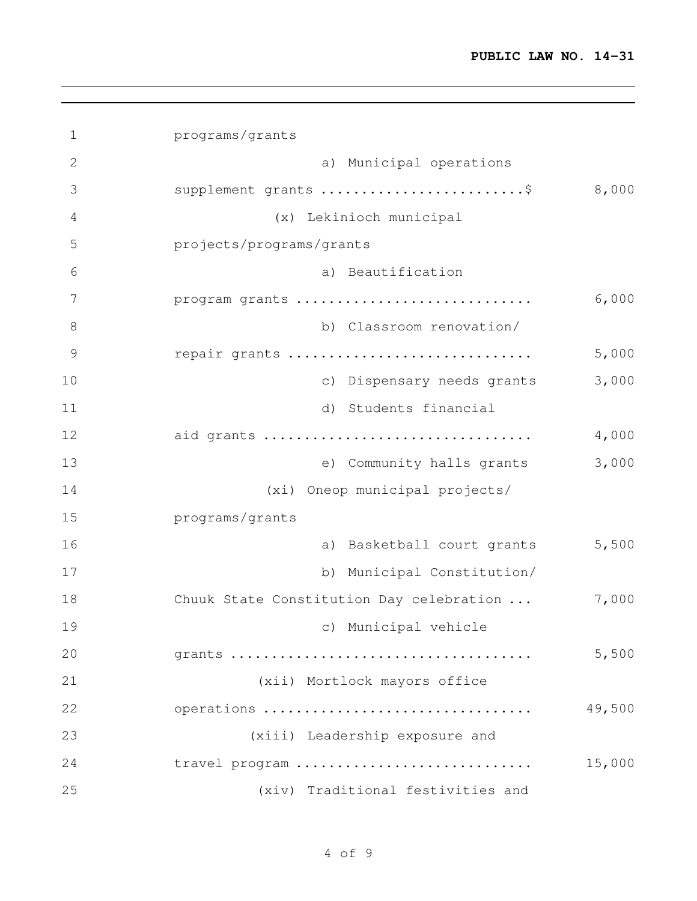| $\mathbf 1$  | programs/grants                          |        |
|--------------|------------------------------------------|--------|
| $\mathbf{2}$ | a) Municipal operations                  |        |
| 3            | supplement grants \$                     | 8,000  |
| 4            | (x) Lekinioch municipal                  |        |
| 5            | projects/programs/grants                 |        |
| 6            | a) Beautification                        |        |
| 7            | program grants                           | 6,000  |
| 8            | b) Classroom renovation/                 |        |
| 9            | repair grants                            | 5,000  |
| 10           | c) Dispensary needs grants               | 3,000  |
| 11           | Students financial<br>d)                 |        |
| 12           | aid grants                               | 4,000  |
| 13           | e) Community halls grants                | 3,000  |
| 14           | (xi) Oneop municipal projects/           |        |
| 15           | programs/grants                          |        |
| 16           | a) Basketball court grants               | 5,500  |
| 17           | b) Municipal Constitution/               |        |
| 18           | Chuuk State Constitution Day celebration | 7,000  |
| 19           | c) Municipal vehicle                     |        |
| 20           |                                          | 5,500  |
| 21           | (xii) Mortlock mayors office             |        |
| 22           | operations                               | 49,500 |
| 23           | (xiii) Leadership exposure and           |        |
| 24           | travel program                           | 15,000 |
| 25           | (xiv) Traditional festivities and        |        |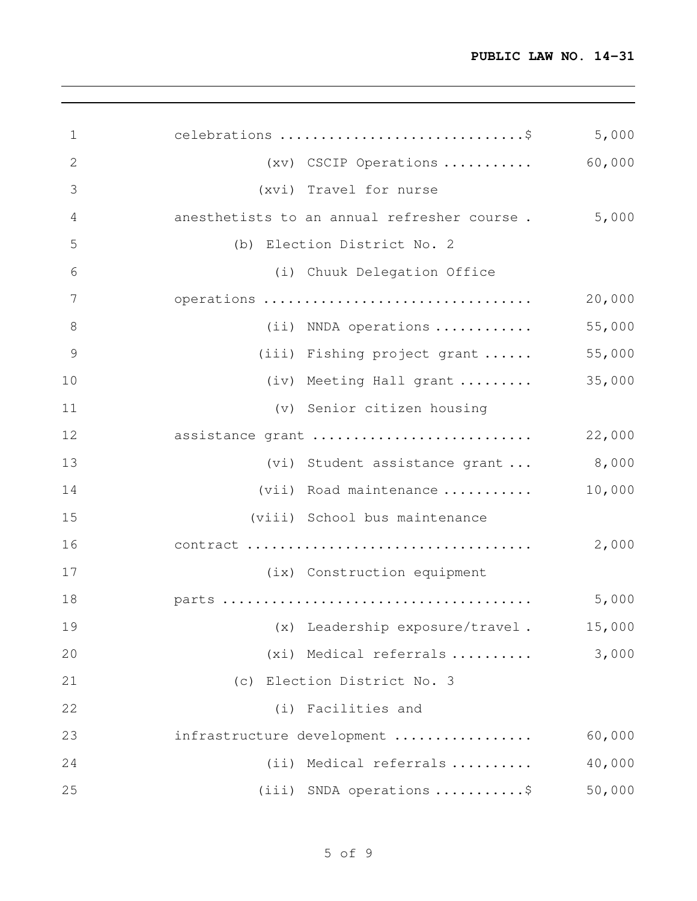| 1              | celebrations \$                             | 5,000  |
|----------------|---------------------------------------------|--------|
| $\overline{2}$ | (xv) CSCIP Operations                       | 60,000 |
| 3              | (xvi) Travel for nurse                      |        |
| 4              | anesthetists to an annual refresher course. | 5,000  |
| 5              | (b) Election District No. 2                 |        |
| 6              | (i) Chuuk Delegation Office                 |        |
| $\overline{7}$ | operations                                  | 20,000 |
| 8              | (ii) NNDA operations                        | 55,000 |
| 9              | (iii) Fishing project grant                 | 55,000 |
| 10             | (iv) Meeting Hall grant                     | 35,000 |
| 11             | (v) Senior citizen housing                  |        |
| 12             | assistance grant                            | 22,000 |
| 13             | (vi) Student assistance grant  8,000        |        |
| 14             | (vii) Road maintenance                      | 10,000 |
| 15             | (viii) School bus maintenance               |        |
| 16             | contract                                    | 2,000  |
| 17             | (ix) Construction equipment                 |        |
| 18             |                                             | 5,000  |
| 19             | (x) Leadership exposure/travel.             | 15,000 |
| 20             | (xi) Medical referrals                      | 3,000  |
| 21             | (c) Election District No. 3                 |        |
| 22             | (i) Facilities and                          |        |
| 23             | infrastructure development                  | 60,000 |
| 24             | (ii) Medical referrals                      | 40,000 |
| 25             | (iii) SNDA operations \$                    | 50,000 |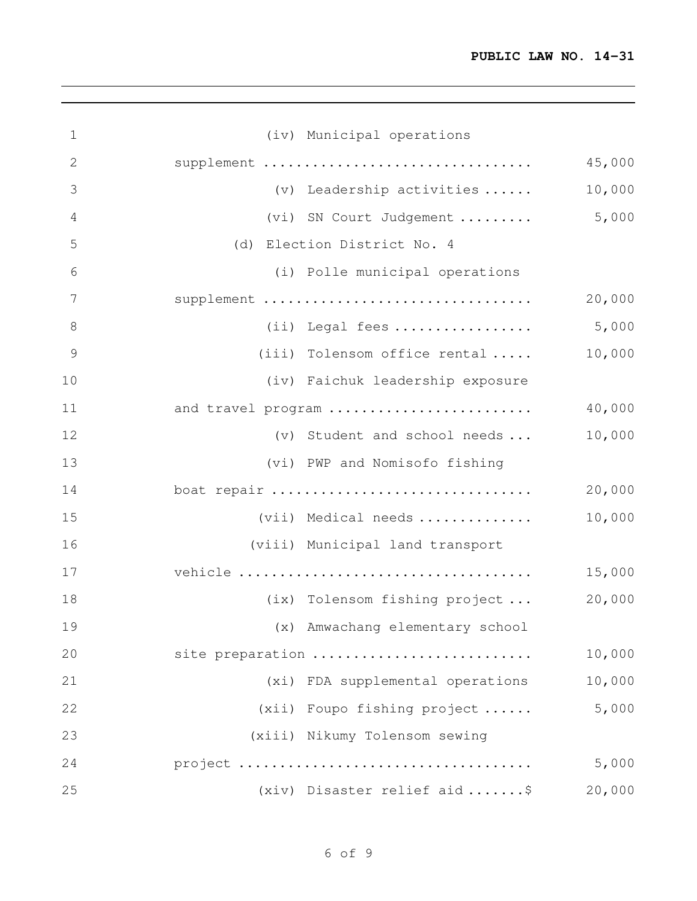| $\mathbf 1$    | (iv) Municipal operations        |        |
|----------------|----------------------------------|--------|
| $\mathbf{2}$   | supplement                       | 45,000 |
| 3              | $(v)$ Leadership activities      | 10,000 |
| 4              | (vi) SN Court Judgement          | 5,000  |
| 5              | (d) Election District No. 4      |        |
| 6              | (i) Polle municipal operations   |        |
| $\overline{7}$ | supplement                       | 20,000 |
| $8\,$          |                                  | 5,000  |
| $\mathcal{G}$  | $(iii)$ Tolensom office rental   | 10,000 |
| 10             | (iv) Faichuk leadership exposure |        |
| 11             | and travel program               | 40,000 |
| 12             | (v) Student and school needs     | 10,000 |
| 13             | (vi) PWP and Nomisofo fishing    |        |
| 14             | boat repair                      | 20,000 |
| 15             | (vii) Medical needs              | 10,000 |
| 16             | (viii) Municipal land transport  |        |
| 17             |                                  | 15,000 |
| 18             | (ix) Tolensom fishing project    | 20,000 |
| 19             | (x) Amwachang elementary school  |        |
| 20             | site preparation                 | 10,000 |
| 21             | (xi) FDA supplemental operations | 10,000 |
| 22             | (xii) Foupo fishing project      | 5,000  |
| 23             | (xiii) Nikumy Tolensom sewing    |        |
| 24             |                                  | 5,000  |
| 25             | (xiv) Disaster relief aid  \$    | 20,000 |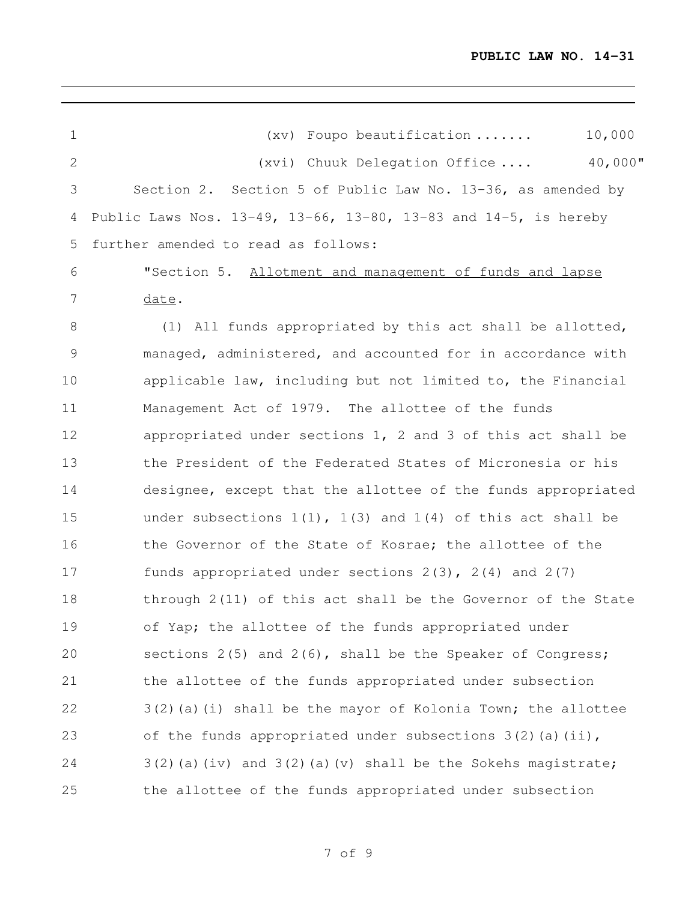| 1             | 10,000<br>$(xv)$ Foupo beautification                              |
|---------------|--------------------------------------------------------------------|
| $\mathbf{2}$  | 40,000"<br>$(xvi)$ Chuuk Delegation Office                         |
| 3             | Section 2. Section 5 of Public Law No. 13-36, as amended by        |
| 4             | Public Laws Nos. 13-49, 13-66, 13-80, 13-83 and 14-5, is hereby    |
| 5             | further amended to read as follows:                                |
| 6             | "Section 5. Allotment and management of funds and lapse            |
| 7             | date.                                                              |
| $\,8\,$       | (1) All funds appropriated by this act shall be allotted,          |
| $\mathcal{G}$ | managed, administered, and accounted for in accordance with        |
| 10            | applicable law, including but not limited to, the Financial        |
| 11            | Management Act of 1979. The allottee of the funds                  |
| 12            | appropriated under sections 1, 2 and 3 of this act shall be        |
| 13            | the President of the Federated States of Micronesia or his         |
| 14            | designee, except that the allottee of the funds appropriated       |
| 15            | under subsections $1(1)$ , $1(3)$ and $1(4)$ of this act shall be  |
| 16            | the Governor of the State of Kosrae; the allottee of the           |
| 17            | funds appropriated under sections $2(3)$ , $2(4)$ and $2(7)$       |
| 18            | through 2(11) of this act shall be the Governor of the State       |
| 19            | of Yap; the allottee of the funds appropriated under               |
| 20            | sections $2(5)$ and $2(6)$ , shall be the Speaker of Congress;     |
| 21            | the allottee of the funds appropriated under subsection            |
| 22            | $3(2)$ (a) (i) shall be the mayor of Kolonia Town; the allottee    |
| 23            | of the funds appropriated under subsections $3(2)$ (a) (ii),       |
| 24            | $3(2)$ (a) (iv) and $3(2)$ (a) (v) shall be the Sokehs magistrate; |
| 25            | the allottee of the funds appropriated under subsection            |

of 9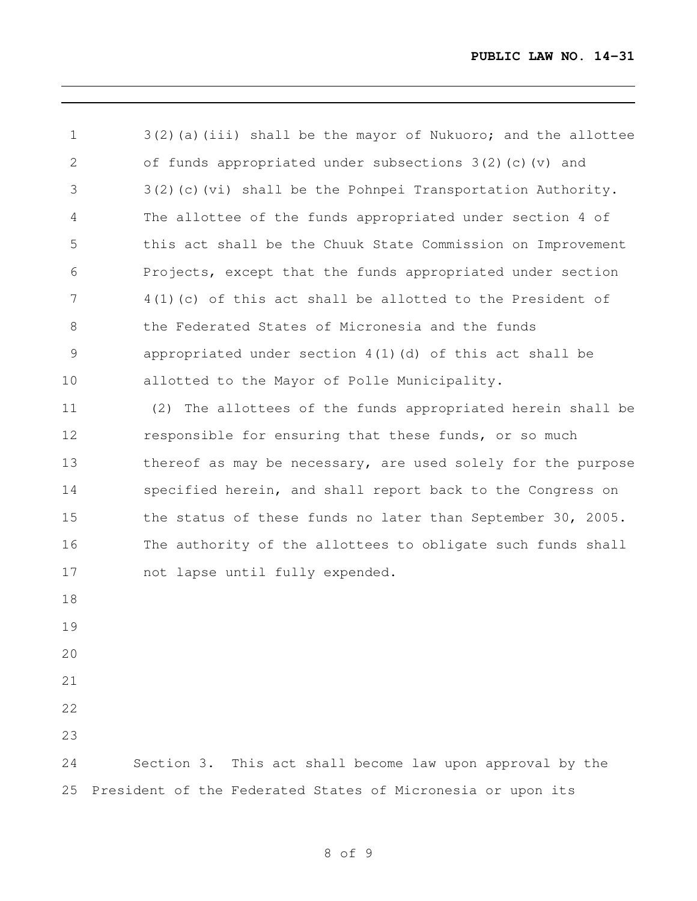3(2)(a)(iii) shall be the mayor of Nukuoro; and the allottee of funds appropriated under subsections 3(2)(c)(v) and 3(2)(c)(vi) shall be the Pohnpei Transportation Authority. The allottee of the funds appropriated under section 4 of this act shall be the Chuuk State Commission on Improvement Projects, except that the funds appropriated under section 4(1)(c) of this act shall be allotted to the President of 8 the Federated States of Micronesia and the funds appropriated under section 4(1)(d) of this act shall be allotted to the Mayor of Polle Municipality. (2) The allottees of the funds appropriated herein shall be responsible for ensuring that these funds, or so much 13 thereof as may be necessary, are used solely for the purpose specified herein, and shall report back to the Congress on the status of these funds no later than September 30, 2005. The authority of the allottees to obligate such funds shall not lapse until fully expended. Section 3. This act shall become law upon approval by the President of the Federated States of Micronesia or upon its